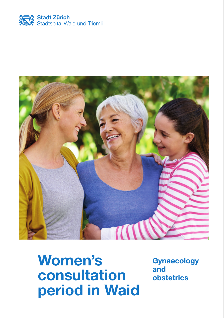



**Women's consultation period in Waid**

**Gynaecology and obstetrics**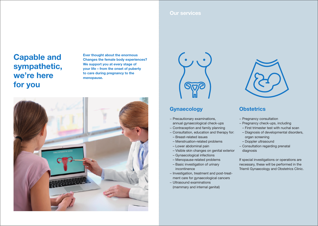#### **Our services**

# **Capable and sympathetic, we're here for you**

**Ever thought about the enormous Changes the female body experiences? We support you at every stage of your life – from the onset of puberty to care during pregnancy to the menopause.**





## **Gynaecology**

- − Precautionary examinations, annual gynaecological check-ups
- − Contraception and family planning
- − Consultation, education and therapy for:
- Breast-related issues
- Menstruation-related problems
- Lower abdominal pain
- Visible skin changes on genital exterior
- Gynaecological infections
- Menopause-related problems
- Basic investigation of urinary incontinence
- − Investigation, treatment and post-treatment care for gynaecological cancers
- − Ultrasound examinations (mammary and internal genital)



## **Obstetrics**

- − Pregnancy consultation
- − Pregnancy check-ups, including
- First trimester test with nuchal scan
- Diagnosis of developmental disorders, organ screening
- Doppler ultrasound
- − Consultation regarding prenatal diagnosis

If special investigations or operations are necessary, these will be performed in the Triemli Gynaecology and Obstetrics Clinic.